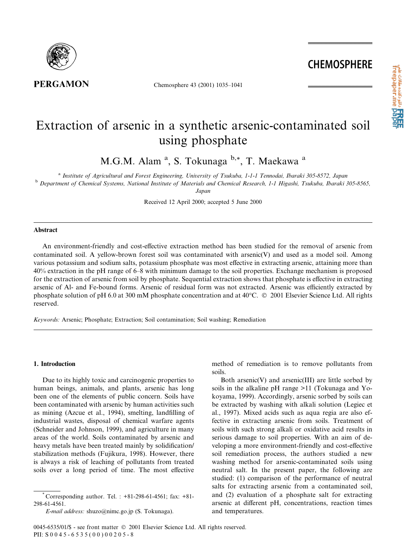

Chemosphere 43 (2001) 1035-1041

# Extraction of arsenic in a synthetic arsenic-contaminated soil using phosphate

M.G.M. Alam<sup>a</sup>, S. Tokunaga<sup>b,\*</sup>, T. Maekawa<sup>a</sup>

<sup>a</sup> Institute of Agricultural and Forest Engineering, University of Tsukuba, 1-1-1 Tennodai, Ibaraki 305-8572, Japan <sup>b</sup> Department of Chemical Systems, National Institute of Materials and Chemical Research, 1-1 Higashi, Tsukuba, Ibaraki 305-8565,

Japan

Received 12 April 2000; accepted 5 June 2000

## **Abstract**

An environment-friendly and cost-effective extraction method has been studied for the removal of arsenic from contaminated soil. A yellow-brown forest soil was contaminated with arsenic(V) and used as a model soil. Among various potassium and sodium salts, potassium phosphate was most effective in extracting arsenic, attaining more than 40% extraction in the pH range of 6–8 with minimum damage to the soil properties. Exchange mechanism is proposed for the extraction of arsenic from soil by phosphate. Sequential extraction shows that phosphate is effective in extracting arsenic of Al- and Fe-bound forms. Arsenic of residual form was not extracted. Arsenic was efficiently extracted by phosphate solution of pH 6.0 at 300 mM phosphate concentration and at  $40^{\circ}$ C.  $\circ$  2001 Elsevier Science Ltd. All rights reserved.

Keywords: Arsenic; Phosphate; Extraction; Soil contamination; Soil washing; Remediation

#### 1. Introduction

Due to its highly toxic and carcinogenic properties to human beings, animals, and plants, arsenic has long been one of the elements of public concern. Soils have been contaminated with arsenic by human activities such as mining (Azcue et al., 1994), smelting, landfilling of industrial wastes, disposal of chemical warfare agents (Schneider and Johnson, 1999), and agriculture in many areas of the world. Soils contaminated by arsenic and heavy metals have been treated mainly by solidification/ stabilization methods (Fujikura, 1998). However, there is always a risk of leaching of pollutants from treated soils over a long period of time. The most effective

method of remediation is to remove pollutants from soils.

Both arsenic(V) and arsenic(III) are little sorbed by soils in the alkaline pH range >11 (Tokunaga and Yokoyama, 1999). Accordingly, arsenic sorbed by soils can be extracted by washing with alkali solution (Legiec et al., 1997). Mixed acids such as aqua regia are also effective in extracting arsenic from soils. Treatment of soils with such strong alkali or oxidative acid results in serious damage to soil properties. With an aim of developing a more environment-friendly and cost-effective soil remediation process, the authors studied a new washing method for arsenic-contaminated soils using neutral salt. In the present paper, the following are studied: (1) comparison of the performance of neutral salts for extracting arsenic from a contaminated soil, and (2) evaluation of a phosphate salt for extracting arsenic at different pH, concentrations, reaction times and temperatures.

Corresponding author. Tel. :  $+81-298-61-4561$ ; fax:  $+81-$ 298-61-4561.

E-mail address: shuzo@nimc.go.jp (S. Tokunaga).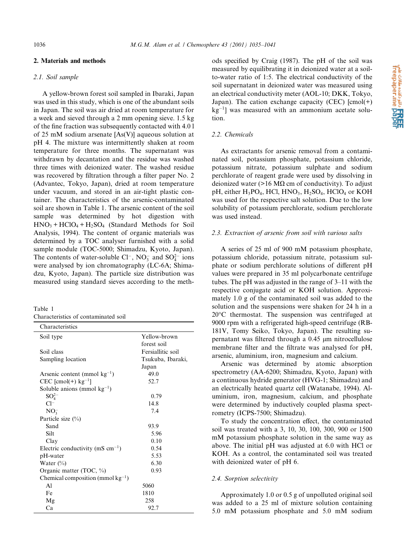# 2. Materials and methods

## 2.1. Soil sample

A yellow-brown forest soil sampled in Ibaraki, Japan was used in this study, which is one of the abundant soils in Japan. The soil was air dried at room temperature for a week and sieved through a 2 mm opening sieve. 1.5 kg of the fine fraction was subsequently contacted with 4.01 of 25 mM sodium arsenate  $[As(V)]$  aqueous solution at pH 4. The mixture was intermittently shaken at room temperature for three months. The supernatant was withdrawn by decantation and the residue was washed three times with deionized water. The washed residue was recovered by filtration through a filter paper No. 2 (Advantec, Tokyo, Japan), dried at room temperature under vacuum, and stored in an air-tight plastic container. The characteristics of the arsenic-contaminated soil are shown in Table 1. The arsenic content of the soil sample was determined by hot digestion with  $HNO<sub>3</sub> + HClO<sub>4</sub> + H<sub>2</sub>SO<sub>4</sub>$  (Standard Methods for Soil Analysis, 1994). The content of organic materials was determined by a TOC analyser furnished with a solid sample module (TOC-5000; Shimadzu, Kyoto, Japan). The contents of water-soluble Cl<sup>-</sup>, NO<sub>3</sub> and SO<sub>4</sub><sup>2</sup> ions were analysed by ion chromatography (LC-6A; Shimadzu, Kyoto, Japan). The particle size distribution was measured using standard sieves according to the meth-

| Table 1                              |  |  |
|--------------------------------------|--|--|
| Characteristics of contaminated soil |  |  |

| Characteristics                        |                   |
|----------------------------------------|-------------------|
| Soil type                              | Yellow-brown      |
|                                        | forest soil       |
| Soil class                             | Fersiallitic soil |
| Sampling location                      | Tsukuba, Ibaraki, |
|                                        | Japan             |
| Arsenic content (mmol $kg^{-1}$ )      | 49.0              |
| $CEC$ [cmol(+) $kg^{-1}$ ]             | 52.7              |
| Soluble anions (mmol $kg^{-1}$ )       |                   |
| $SO_4^{2-}$                            | 0.79              |
| $Cl^-$                                 | 14.8              |
| NO <sub>2</sub>                        | 7.4               |
| Particle size $(\%)$                   |                   |
| Sand                                   | 93.9              |
| Silt                                   | 5.96              |
| Clay                                   | 0.10              |
| Electric conductivity (mS $cm^{-1}$ )  | 0.54              |
| pH-water                               | 5.53              |
| Water $(\% )$                          | 6.30              |
| Organic matter (TOC, $\%$ )            | 0.93              |
| Chemical composition (mmol $kg^{-1}$ ) |                   |
| A <sub>1</sub>                         | 5060              |
| Fe                                     | 1810              |
| Mg                                     | 258               |
| Ca                                     | 92.7              |

ods specified by Craig (1987). The pH of the soil was measured by equilibrating it in deionized water at a soilto-water ratio of 1:5. The electrical conductivity of the soil supernatant in deionized water was measured using an electrical conductivity meter (AOL-10; DKK, Tokyo, Japan). The cation exchange capacity (CEC)  $[cmo](+)$  $kg^{-1}$ ] was measured with an ammonium acetate solu-

#### 2.2. Chemicals

tion.

As extractants for arsenic removal from a contaminated soil, potassium phosphate, potassium chloride, potassium nitrate, potassium sulphate and sodium perchlorate of reagent grade were used by dissolving in deionized water (>16 M $\Omega$  cm of conductivity). To adjust pH, either  $H_3PO_4$ , HCl, HNO<sub>3</sub>,  $H_2SO_4$ , HClO<sub>4</sub> or KOH was used for the respective salt solution. Due to the low solubility of potassium perchlorate, sodium perchlorate was used instead.

#### 2.3. Extraction of arsenic from soil with various salts

A series of 25 ml of 900 mM potassium phosphate, potassium chloride, potassium nitrate, potassium sulphate or sodium perchlorate solutions of different pH values were prepared in 35 ml polycarbonate centrifuge tubes. The pH was adjusted in the range of  $3-11$  with the respective conjugate acid or KOH solution. Approximately 1.0 g of the contaminated soil was added to the solution and the suspensions were shaken for 24 h in a 20°C thermostat. The suspension was centrifuged at 9000 rpm with a refrigerated high-speed centrifuge (RB-181V, Tomy Seiko, Tokyo, Japan). The resulting supernatant was filtered through a 0.45 µm nitrocellulose membrane filter and the filtrate was analysed for pH, arsenic, aluminium, iron, magnesium and calcium.

Arsenic was determined by atomic absorption spectrometry (AA-6200; Shimadzu, Kyoto, Japan) with a continuous hydride generator (HVG-1; Shimadzu) and an electrically heated quartz cell (Watanabe, 1994). Aluminium, iron, magnesium, calcium, and phosphate were determined by inductively coupled plasma spectrometry (ICPS-7500; Shimadzu).

To study the concentration effect, the contaminated soil was treated with a 3, 10, 30, 100, 300, 900 or 1500 mM potassium phosphate solution in the same way as above. The initial pH was adjusted at 6.0 with HCl or KOH. As a control, the contaminated soil was treated with deionized water of pH 6.

## 2.4. Sorption selectivity

Approximately 1.0 or 0.5 g of unpolluted original soil was added to a 25 ml of mixture solution containing 5.0 mM potassium phosphate and 5.0 mM sodium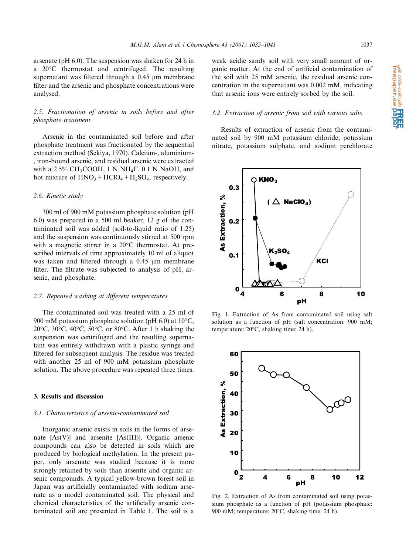a تانین مقالات به مقالات علمی<br>freepaper.me pape

arsenate ( $pH$  6.0). The suspension was shaken for 24 h in a  $20^{\circ}$ C thermostat and centrifuged. The resulting supernatant was filtered through a 0.45 µm membrane filter and the arsenic and phosphate concentrations were analysed.

# 2.5. Fractionation of arsenic in soils before and after *phosphate treatment*

Arsenic in the contaminated soil before and after phosphate treatment was fractionated by the sequential extraction method (Sekiya, 1970). Calcium-, aluminium-, iron-bound arsenic, and residual arsenic were extracted with a  $2.5\%$  CH<sub>3</sub>COOH, 1 N NH<sub>4</sub>F, 0.1 N NaOH, and hot mixture of  $HNO_3 + HClO_4 + H_2SO_4$ , respectively.

## 2.6. Kinetic study

300 ml of 900 mM potassium phosphate solution (pH 6.0) was prepared in a 500 ml beaker. 12 g of the contaminated soil was added (soil-to-liquid ratio of 1:25) and the suspension was continuously stirred at 500 rpm with a magnetic stirrer in a 20°C thermostat. At prescribed intervals of time approximately 10 ml of aliquot was taken and filtered through a 0.45 µm membrane filter. The filtrate was subjected to analysis of pH, arsenic, and phosphate.

#### 2.7. Repeated washing at different temperatures

The contaminated soil was treated with a 25 ml of 900 mM potassium phosphate solution (pH  $6.0$ ) at 10 $\degree$ C, 20 $\degree$ C, 30 $\degree$ C, 40 $\degree$ C, 50 $\degree$ C, or 80 $\degree$ C. After 1 h shaking the suspension was centrifuged and the resulting supernatant was entirely withdrawn with a plastic syringe and filtered for subsequent analysis. The residue was treated with another 25 ml of 900 mM potassium phosphate solution. The above procedure was repeated three times.

# 3. Results and discussion

# 3.1. Characteristics of arsenic-contaminated soil

Inorganic arsenic exists in soils in the forms of arsenate [As(V)] and arsenite [As(III)]. Organic arsenic compounds can also be detected in soils which are produced by biological methylation. In the present paper, only arsenate was studied because it is more strongly retained by soils than arsenite and organic arsenic compounds. A typical yellow-brown forest soil in Japan was artificially contaminated with sodium arsenate as a model contaminated soil. The physical and chemical characteristics of the artificially arsenic contaminated soil are presented in Table 1. The soil is a

weak acidic sandy soil with very small amount of organic matter. At the end of artificial contamination of the soil with 25 mM arsenic, the residual arsenic concentration in the supernatant was 0.002 mM, indicating that arsenic ions were entirely sorbed by the soil.

# 3.2. Extraction of arsenic from soil with various salts

Results of extraction of arsenic from the contaminated soil by 900 mM potassium chloride, potassium nitrate, potassium sulphate, and sodium perchlorate



Fig. 1. Extraction of As from contaminated soil using salt solution as a function of pH (salt concentration: 900 mM; temperature: 20°C, shaking time: 24 h).



Fig. 2. Extraction of As from contaminated soil using potassium phosphate as a function of pH (potassium phosphate: 900 mM; temperature: 20°C, shaking time: 24 h).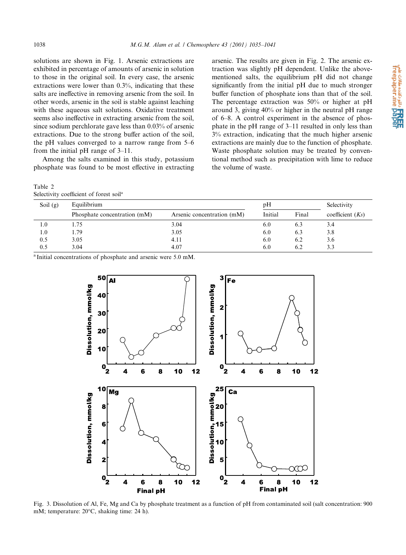solutions are shown in Fig. 1. Arsenic extractions are exhibited in percentage of amounts of arsenic in solution to those in the original soil. In every case, the arsenic extractions were lower than  $0.3\%$ , indicating that these salts are ineffective in removing arsenic from the soil. In other words, arsenic in the soil is stable against leaching with these aqueous salt solutions. Oxidative treatment seems also ineffective in extracting arsenic from the soil, since sodium perchlorate gave less than 0.03% of arsenic extractions. Due to the strong buffer action of the soil, the pH values converged to a narrow range from 5–6 from the initial pH range of  $3-11$ .

Among the salts examined in this study, potassium phosphate was found to be most effective in extracting

| Table 2                                             |  |  |
|-----------------------------------------------------|--|--|
| Selectivity coefficient of forest soil <sup>a</sup> |  |  |

arsenic. The results are given in Fig. 2. The arsenic extraction was slightly pH dependent. Unlike the abovementioned salts, the equilibrium pH did not change significantly from the initial pH due to much stronger buffer function of phosphate ions than that of the soil. The percentage extraction was  $50\%$  or higher at pH around 3, giving 40% or higher in the neutral pH range of 6–8. A control experiment in the absence of phosphate in the pH range of 3-11 resulted in only less than 3% extraction, indicating that the much higher arsenic extractions are mainly due to the function of phosphate. Waste phosphate solution may be treated by conventional method such as precipitation with lime to reduce the volume of waste.

| Soil $(g)$ | Equilibrium                  |                            | pH      |       | Selectivity        |  |
|------------|------------------------------|----------------------------|---------|-------|--------------------|--|
|            | Phosphate concentration (mM) | Arsenic concentration (mM) | Initial | Final | coefficient $(Ks)$ |  |
| 1.0        | 1.75                         | 3.04                       | 6.0     | 6.3   | 3.4                |  |
| 1.0        | 1.79                         | 3.05                       | 6.0     | 6.3   | 3.8                |  |
| 0.5        | 3.05                         | 4.11                       | 6.0     | 6.2   | 3.6                |  |
| 0.5        | 3.04                         | 4.07                       | 6.0     | 6.2   | 3.3                |  |

<sup>a</sup> Initial concentrations of phosphate and arsenic were 5.0 mM.



Fig. 3. Dissolution of Al, Fe, Mg and Ca by phosphate treatment as a function of pH from contaminated soil (salt concentration: 900 mM; temperature: 20°C, shaking time: 24 h).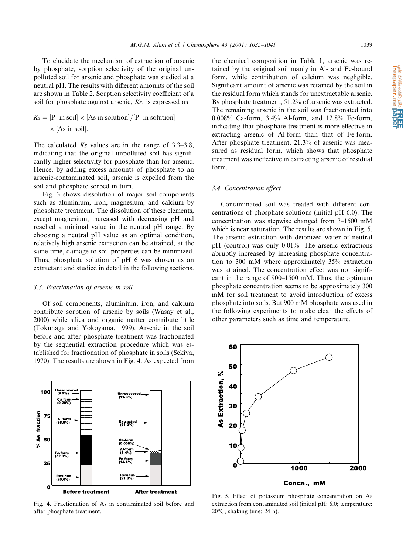To elucidate the mechanism of extraction of arsenic by phosphate, sorption selectivity of the original unpolluted soil for arsenic and phosphate was studied at a neutral pH. The results with different amounts of the soil are shown in Table 2. Sorption selectivity coefficient of a soil for phosphate against arsenic, Ks, is expressed as

$$
Ks = [P \text{ in soil}] \times [As \text{ in solution}]/[P \text{ in solution}]
$$
  
  $\times$  [As in soil].

The calculated  $Ks$  values are in the range of 3.3–3.8, indicating that the original unpolluted soil has significantly higher selectivity for phosphate than for arsenic. Hence, by adding excess amounts of phosphate to an arsenic-contaminated soil, arsenic is expelled from the soil and phosphate sorbed in turn.

Fig. 3 shows dissolution of major soil components such as aluminium, iron, magnesium, and calcium by phosphate treatment. The dissolution of these elements, except magnesium, increased with decreasing pH and reached a minimal value in the neutral pH range. By choosing a neutral pH value as an optimal condition, relatively high arsenic extraction can be attained, at the same time, damage to soil properties can be minimized. Thus, phosphate solution of pH 6 was chosen as an extractant and studied in detail in the following sections.

## 3.3. Fractionation of arsenic in soil

Of soil components, aluminium, iron, and calcium contribute sorption of arsenic by soils (Wasay et al., 2000) while silica and organic matter contribute little (Tokunaga and Yokoyama, 1999). Arsenic in the soil before and after phosphate treatment was fractionated by the sequential extraction procedure which was established for fractionation of phosphate in soils (Sekiya, 1970). The results are shown in Fig. 4. As expected from

100 nrecov<br>(9 9%) **Unrecove**<br>(11.3%) Ca forn<br>(0.29%) fraction 75 Extracted<br>(51.2%)  $\overset{\circ}{\mathbf{4}}$  50 Ca form<br>(0.008% × A for Fe form<br>(32.3%) Fe form<br>(12.8%) 25 Residue<br>(21 3%) Reside<br>(20.6%  $\mathbf{a}$ 

Fig. 4. Fractionation of As in contaminated soil before and after phosphate treatment.

**After treatment** 

**Before treatment** 

the chemical composition in Table 1, arsenic was retained by the original soil manly in Al- and Fe-bound form, while contribution of calcium was negligible. Significant amount of arsenic was retained by the soil in the residual form which stands for unextractable arsenic. By phosphate treatment, 51.2% of arsenic was extracted. The remaining arsenic in the soil was fractionated into 0.008% Ca-form, 3.4% Al-form, and 12.8% Fe-form, indicating that phosphate treatment is more effective in extracting arsenic of Al-form than that of Fe-form. After phosphate treatment, 21.3% of arsenic was measured as residual form, which shows that phosphate treatment was ineffective in extracting arsenic of residual form.

## 3.4. Concentration effect

Contaminated soil was treated with different concentrations of phosphate solutions (initial pH 6.0). The concentration was stepwise changed from 3-1500 mM which is near saturation. The results are shown in Fig. 5. The arsenic extraction with deionized water of neutral pH (control) was only 0.01%. The arsenic extractions abruptly increased by increasing phosphate concentration to 300 mM where approximately 35% extraction was attained. The concentration effect was not significant in the range of 900–1500 mM. Thus, the optimum phosphate concentration seems to be approximately 300 mM for soil treatment to avoid introduction of excess phosphate into soils. But 900 mM phosphate was used in the following experiments to make clear the effects of other parameters such as time and temperature.



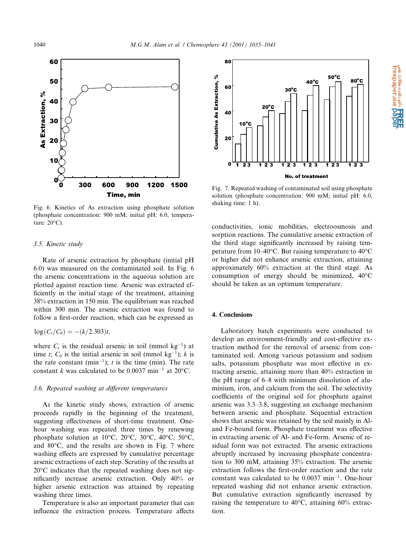

Fig. 6. Kinetics of As extraction using phosphate solution (phosphate concentration: 900 mM; initial pH: 6.0, temperature:  $20^{\circ}$ C).

## 3.5. Kinetic study

Rate of arsenic extraction by phosphate (initial pH 6.0) was measured on the contaminated soil. In Fig. 6 the arsenic concentrations in the aqueous solution are plotted against reaction time. Arsenic was extracted efficiently in the initial stage of the treatment, attaining 38% extraction in 150 min. The equilibrium was reached within 300 min. The arsenic extraction was found to follow a first-order reaction, which can be expressed as

$$
\log(C_t/C_0) = -(k/2.303)t,
$$

where  $C_t$  is the residual arsenic in soil (mmol kg<sup>-1</sup>) at time t;  $C_0$  is the initial arsenic in soil (mmol kg<sup>-1</sup>); k is the rate constant ( $min^{-1}$ ); t is the time ( $min$ ). The rate constant k was calculated to be 0.0037 min<sup>-1</sup> at 20<sup>o</sup>C.

# 3.6. Repeated washing at different temperatures

As the kinetic study shows, extraction of arsenic proceeds rapidly in the beginning of the treatment, suggesting effectiveness of short-time treatment. Onehour washing was repeated three times by renewing phosphate solution at 10°C, 20°C, 30°C, 40°C, 50°C, and 80°C, and the results are shown in Fig. 7 where washing effects are expressed by cumulative percentage arsenic extractions of each step. Scrutiny of the results at  $20^{\circ}$ C indicates that the repeated washing does not significantly increase arsenic extraction. Only 40% or higher arsenic extraction was attained by repeating washing three times.

Temperature is also an important parameter that can influence the extraction process. Temperature affects



Fig. 7. Repeated washing of contaminated soil using phosphate solution (phosphate concentration: 900 mM; initial pH: 6.0, shaking time: 1 h).

conductivities, ionic mobilities, electroosmosis and sorption reactions. The cumulative arsenic extraction of the third stage significantly increased by raising temperature from 10–40 $^{\circ}$ C. But raising temperature to 40 $^{\circ}$ C or higher did not enhance arsenic extraction, attaining approximately 60% extraction at the third stage. As consumption of energy should be minimized.  $40^{\circ}$ C should be taken as an optimum temperature.

# 4. Conclusions

Laboratory batch experiments were conducted to develop an environment-friendly and cost-effective extraction method for the removal of arsenic from contaminated soil. Among various potassium and sodium salts, potassium phosphate was most effective in extracting arsenic, attaining more than 40% extraction in the pH range of 6–8 with minimum dissolution of aluminium, iron, and calcium from the soil. The selectivity coefficients of the original soil for phosphate against arsenic was 3.3–3.8, suggesting an exchange mechanism between arsenic and phosphate. Sequential extraction shows that arsenic was retained by the soil mainly in Aland Fe-bound form. Phosphate treatment was effective in extracting arsenic of Al- and Fe-form. Arsenic of residual form was not extracted. The arsenic extractions abruptly increased by increasing phosphate concentration to 300 mM, attaining 35% extraction. The arsenic extraction follows the first-order reaction and the rate constant was calculated to be  $0.0037$  min<sup>-1</sup>. One-hour repeated washing did not enhance arsenic extraction. But cumulative extraction significantly increased by raising the temperature to 40°C, attaining 60% extraction.